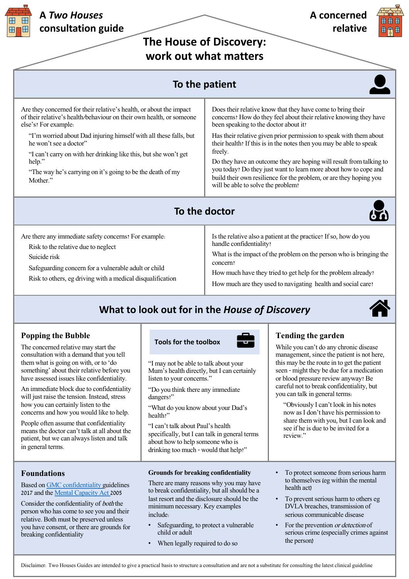**The House of Discovery: work out what matters**

## **To the patient**

Are they concerned for their relative's health, or about the impact of their relative's health/behaviour on their own health, or someone else's? For example:

"I'm worried about Dad injuring himself with all these falls, but he won't see a doctor"

"I can't carry on with her drinking like this, but she won't get help."

"The way he's carrying on it's going to be the death of my Mother."

Does their relative know that they have come to bring their concerns? How do they feel about their relative knowing they have been speaking to the doctor about it?

Has their relative given prior permission to speak with them about their health? If this is in the notes then you may be able to speak freely.

Do they have an outcome they are hoping will result from talking to you today? Do they just want to learn more about how to cope and build their own resilience for the problem, or are they hoping you will be able to solve the problem?

### **To the doctor**



Are there any immediate safety concerns? For example:

Risk to the relative due to neglect

Suicide risk

Safeguarding concern for a vulnerable adult or child

Risk to others, eg driving with a medical disqualification

Is the relative also a patient at the practice? If so, how do you handle confidentiality?

What is the impact of the problem on the person who is bringing the concern?

How much have they tried to get help for the problem already?

How much are they used to navigating health and social care?

# **What to look out for in the** *House of Discovery*



### **Popping the Bubble**

The concerned relative may start the consultation with a demand that you tell them what is going on with, or to 'do something' about their relative before you have assessed issues like confidentiality.

An immediate block due to confidentiality will just raise the tension. Instead, stress how you can certainly listen to the concerns and how you would like to help.

People often assume that confidentiality means the doctor can't talk at all about the patient, but we can always listen and talk in general terms.

#### **Foundations**

Based on GMC confidentiality guidelines 2017 and the Mental Capacity Act 2005

Consider the confidentiality of both the person who has come to see you and their relative. [Both must be preserved](https://www.gmc-uk.org/-/media/documents/gmc-guidance-for-doctors---confidentiality-good-practice-in-handling-patient-information----70080105.pdf?la=en&hash=08E96AC70CEE25912CE2EA98E5AA3303EADB5D88) unless you have co[nsent, or there are grou](https://www.nhs.uk/conditions/social-care-and-support-guide/making-decisions-for-someone-else/mental-capacity-act/)nds for breaking confidentiality

#### **Tools for the toolbox**

"I may not be able to talk about your Mum's health directly, but I can certainly listen to your concerns."

"Do you think there any immediate dangers?"

"What do you know about your Dad's health?"

"I can't talk about Paul's health specifically, but I can talk in general terms about how to help someone who is drinking too much - would that help?"

#### **Grounds for breaking confidentiality**

There are many reasons why you may have to break confidentiality, but all should be a last resort and the disclosure should be the minimum necessary. Key examples include:

- Safeguarding, to protect a vulnerable child or adult
- When legally required to do so

#### **Tending the garden**

While you can't do any chronic disease management, since the patient is not here, this may be the route in to get the patient seen - might they be due for a medication or blood pressure review anyway? Be careful not to break confidentiality, but you can talk in general terms:

"Obviously I can't look in his notes now as I don't have his permission to share them with you, but I can look and see if he is due to be invited for a review."

- To protect someone from serious harm to themselves (eg within the mental health act)
- To prevent serious harm to others eg DVLA breaches, transmission of serious communicable disease
- For the prevention or detection of serious crime (especially crimes against the person)

Disclaimer: Two Houses Guides are intended to give a practical basis to structure a consultation and are not a substitute for consulting the latest clinical guideline